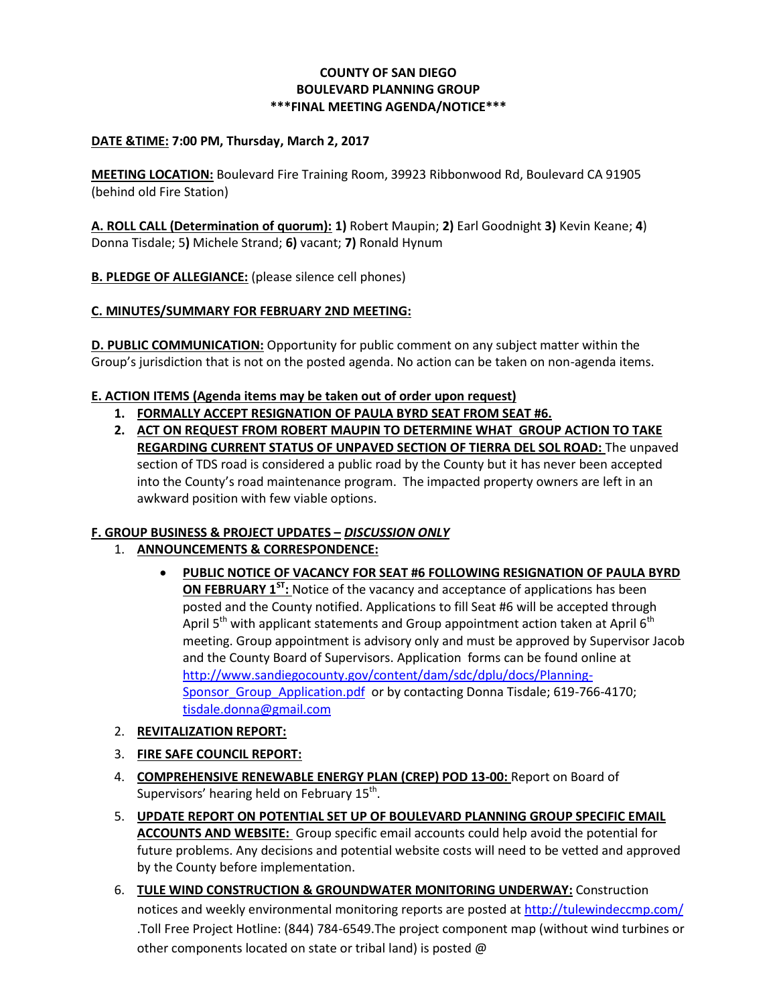### **COUNTY OF SAN DIEGO BOULEVARD PLANNING GROUP \*\*\*FINAL MEETING AGENDA/NOTICE\*\*\***

### **DATE &TIME: 7:00 PM, Thursday, March 2, 2017**

**MEETING LOCATION:** Boulevard Fire Training Room, 39923 Ribbonwood Rd, Boulevard CA 91905 (behind old Fire Station)

**A. ROLL CALL (Determination of quorum): 1)** Robert Maupin; **2)** Earl Goodnight **3)** Kevin Keane; **4**) Donna Tisdale; 5**)** Michele Strand; **6)** vacant; **7)** Ronald Hynum

**B. PLEDGE OF ALLEGIANCE:** (please silence cell phones)

### **C. MINUTES/SUMMARY FOR FEBRUARY 2ND MEETING:**

**D. PUBLIC COMMUNICATION:** Opportunity for public comment on any subject matter within the Group's jurisdiction that is not on the posted agenda. No action can be taken on non-agenda items.

### **E. ACTION ITEMS (Agenda items may be taken out of order upon request)**

- **1. FORMALLY ACCEPT RESIGNATION OF PAULA BYRD SEAT FROM SEAT #6.**
- **2. ACT ON REQUEST FROM ROBERT MAUPIN TO DETERMINE WHAT GROUP ACTION TO TAKE REGARDING CURRENT STATUS OF UNPAVED SECTION OF TIERRA DEL SOL ROAD:** The unpaved section of TDS road is considered a public road by the County but it has never been accepted into the County's road maintenance program. The impacted property owners are left in an awkward position with few viable options.

#### **F. GROUP BUSINESS & PROJECT UPDATES –** *DISCUSSION ONLY*

- 1. **ANNOUNCEMENTS & CORRESPONDENCE:**
	- **PUBLIC NOTICE OF VACANCY FOR SEAT #6 FOLLOWING RESIGNATION OF PAULA BYRD ON FEBRUARY 1ST:** Notice of the vacancy and acceptance of applications has been posted and the County notified. Applications to fill Seat #6 will be accepted through April  $5<sup>th</sup>$  with applicant statements and Group appointment action taken at April  $6<sup>th</sup>$ meeting. Group appointment is advisory only and must be approved by Supervisor Jacob and the County Board of Supervisors. Application forms can be found online at [http://www.sandiegocounty.gov/content/dam/sdc/dplu/docs/Planning-](http://www.sandiegocounty.gov/content/dam/sdc/dplu/docs/Planning-Sponsor_Group_Application.pdf)Sponsor Group Application.pdf or by contacting Donna Tisdale; 619-766-4170; [tisdale.donna@gmail.com](mailto:tisdale.donna@gmail.com)
- 2. **REVITALIZATION REPORT:**
- 3. **FIRE SAFE COUNCIL REPORT:**
- 4. **COMPREHENSIVE RENEWABLE ENERGY PLAN (CREP) POD 13-00:** Report on Board of Supervisors' hearing held on February 15<sup>th</sup>.
- 5. **UPDATE REPORT ON POTENTIAL SET UP OF BOULEVARD PLANNING GROUP SPECIFIC EMAIL ACCOUNTS AND WEBSITE:** Group specific email accounts could help avoid the potential for future problems. Any decisions and potential website costs will need to be vetted and approved by the County before implementation.
- 6. **TULE WIND CONSTRUCTION & GROUNDWATER MONITORING UNDERWAY:** Construction notices and weekly environmental monitoring reports are posted at<http://tulewindeccmp.com/> .Toll Free Project Hotline: (844) 784-6549.The project component map (without wind turbines or other components located on state or tribal land) is posted @